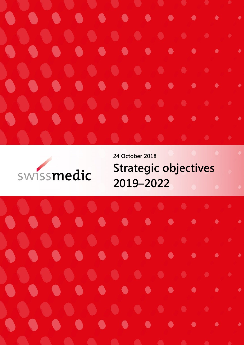



**24 October 2018 Strategic objectives 2019–2022**

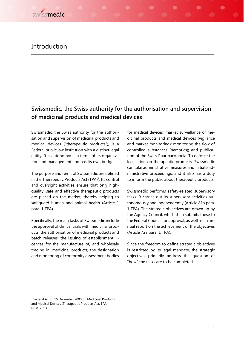#### Introduction

#### **Swissmedic, the Swiss authority for the authorisation and supervision of medicinal products and medical devices**

Swissmedic, the Swiss authority for the authorisation and supervision of medicinal products and medical devices ("therapeutic products"), is a Federal public law institution with a distinct legal entity. It is autonomous in terms of its organisation and management and has its own budget.

The purpose and remit of Swissmedic are defined in the Therapeutic Products Act  $(TPA)^1$ . Its control and oversight activities ensure that only highquality, safe and effective therapeutic products are placed on the market, thereby helping to safeguard human and animal health (Article 1 para. 1 TPA).

Specifically, the main tasks of Swissmedic include the approval of clinical trials with medicinal products; the authorisation of medicinal products and batch releases; the issuing of establishment licences for the manufacture of, and wholesale trading in, medicinal products; the designation and monitoring of conformity assessment bodies

for medical devices; market surveillance of medicinal products and medical devices (vigilance and market monitoring); monitoring the flow of controlled substances (narcotics); and publication of the Swiss Pharmacopoeia. To enforce the legislation on therapeutic products, Swissmedic can take administrative measures and initiate administrative proceedings, and it also has a duty to inform the public about therapeutic products.

Swissmedic performs safety-related supervisory tasks. It carries out its supervisory activities autonomously and independently (Article 81a para. 1 TPA). The strategic objectives are drawn up by the Agency Council, which then submits these to the Federal Council for approval, as well as an annual report on the achievement of the objectives (Article 72a para. 1 TPA).

Since the freedom to define strategic objectives is restricted by its legal mandate, the strategic objectives primarily address the question of "how" the tasks are to be completed.

 $\overline{a}$ 

<sup>&</sup>lt;sup>1</sup> Federal Act of 15 December 2000 on Medicinal Products and Medical Devices (Therapeutic Products Act, TPA; CC 812.21)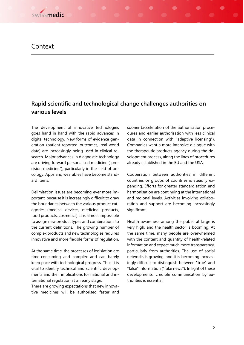#### Context

#### **Rapid scientific and technological change challenges authorities on various levels**

The development of innovative technologies goes hand in hand with the rapid advances in digital technology. New forms of evidence generation (patient-reported outcomes, real-world data) are increasingly being used in clinical research. Major advances in diagnostic technology are driving forward personalised medicine ("precision medicine"), particularly in the field of oncology. Apps and wearables have become standard items.

Delimitation issues are becoming ever more important, because it is increasingly difficult to draw the boundaries between the various product categories (medical devices, medicinal products, food products, cosmetics). It is almost impossible to assign new product types and combinations to the current definitions. The growing number of complex products and new technologies requires innovative and more flexible forms of regulation.

At the same time, the processes of legislation are time-consuming and complex and can barely keep pace with technological progress. Thus it is vital to identify technical and scientific developments and their implications for national and international regulation at an early stage.

There are growing expectations that new innovative medicines will be authorised faster and sooner (acceleration of the authorisation procedures and earlier authorisation with less clinical data in connection with "adaptive licensing"). Companies want a more intensive dialogue with the therapeutic products agency during the development process, along the lines of procedures already established in the EU and the USA.

Cooperation between authorities in different countries or groups of countries is steadily expanding. Efforts for greater standardisation and harmonisation are continuing at the international and regional levels. Activities involving collaboration and support are becoming increasingly significant.

Health awareness among the public at large is very high, and the health sector is booming. At the same time, many people are overwhelmed with the content and quantity of health-related information and expect much more transparency, particularly from authorities. The use of social networks is growing, and it is becoming increasingly difficult to distinguish between "true" and "false" information ("fake news"). In light of these developments, credible communication by authorities is essential.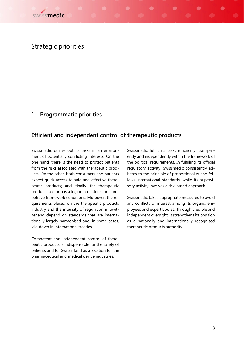#### **1. Programmatic priorities**

#### **Efficient and independent control of therapeutic products**

Swissmedic carries out its tasks in an environment of potentially conflicting interests. On the one hand, there is the need to protect patients from the risks associated with therapeutic products. On the other, both consumers and patients expect quick access to safe and effective therapeutic products; and, finally, the therapeutic products sector has a legitimate interest in competitive framework conditions. Moreover, the requirements placed on the therapeutic products industry and the intensity of regulation in Switzerland depend on standards that are internationally largely harmonised and, in some cases, laid down in international treaties.

Competent and independent control of therapeutic products is indispensable for the safety of patients and for Switzerland as a location for the pharmaceutical and medical device industries.

Swissmedic fulfils its tasks efficiently, transparently and independently within the framework of the political requirements. In fulfilling its official regulatory activity, Swissmedic consistently adheres to the principle of proportionality and follows international standards, while its supervisory activity involves a risk-based approach.

Swissmedic takes appropriate measures to avoid any conflicts of interest among its organs, employees and expert bodies. Through credible and independent oversight, it strengthens its position as a nationally and internationally recognised therapeutic products authority.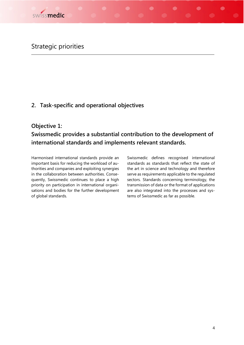#### **2. Task-specific and operational objectives**

# **Objective 1: Swissmedic provides a substantial contribution to the development of international standards and implements relevant standards.**

Harmonised international standards provide an important basis for reducing the workload of authorities and companies and exploiting synergies in the collaboration between authorities. Consequently, Swissmedic continues to place a high priority on participation in international organisations and bodies for the further development of global standards.

Swissmedic defines recognised international standards as standards that reflect the state of the art in science and technology and therefore serve as requirements applicable to the regulated sectors. Standards concerning terminology, the transmission of data or the format of applications are also integrated into the processes and systems of Swissmedic as far as possible.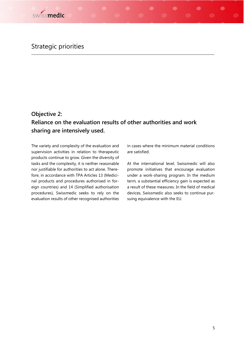## **Objective 2: Reliance on the evaluation results of other authorities and work sharing are intensively used.**

The variety and complexity of the evaluation and supervision activities in relation to therapeutic products continue to grow. Given the diversity of tasks and the complexity, it is neither reasonable nor justifiable for authorities to act alone. Therefore, in accordance with TPA Articles 13 (Medicinal products and procedures authorised in foreign countries) and 14 (Simplified authorisation procedures), Swissmedic seeks to rely on the evaluation results of other recognised authorities

in cases where the minimum material conditions are satisfied.

At the international level, Swissmedic will also promote initiatives that encourage evaluation under a work-sharing program. In the medium term, a substantial efficiency gain is expected as a result of these measures. In the field of medical devices, Swissmedic also seeks to continue pursuing equivalence with the EU.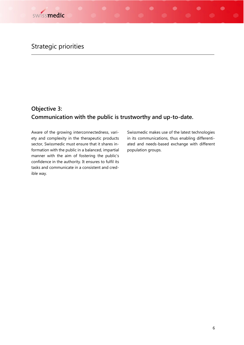## **Objective 3: Communication with the public is trustworthy and up-to-date.**

Aware of the growing interconnectedness, variety and complexity in the therapeutic products sector, Swissmedic must ensure that it shares information with the public in a balanced, impartial manner with the aim of fostering the public's confidence in the authority. It ensures to fulfil its tasks and communicate in a consistent and credible way.

Swissmedic makes use of the latest technologies in its communications, thus enabling differentiated and needs-based exchange with different population groups.

 $\bullet$ 

 $\bullet$ 

Ô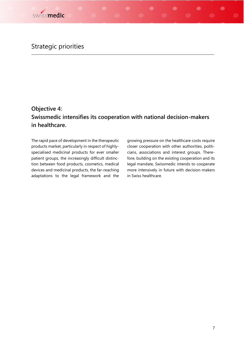# **Objective 4: Swissmedic intensifies its cooperation with national decision-makers in healthcare.**

The rapid pace of development in the therapeutic products market, particularly in respect of highlyspecialised medicinal products for ever smaller patient groups, the increasingly difficult distinction between food products, cosmetics, medical devices and medicinal products, the far-reaching adaptations to the legal framework and the

growing pressure on the healthcare costs require closer cooperation with other authorities, politicians, associations and interest groups. Therefore, building on the existing cooperation and its legal mandate, Swissmedic intends to cooperate more intensively in future with decision-makers in Swiss healthcare.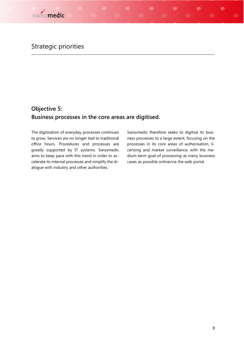## **Objective 5: Business processes in the core areas are digitised.**

The digitisation of everyday processes continues to grow. Services are no longer tied to traditional office hours. Procedures and processes are greatly supported by IT systems. Swissmedic aims to keep pace with this trend in order to accelerate its internal processes and simplify the dialogue with industry and other authorities.

Swissmedic therefore seeks to digitise its business processes to a large extent, focusing on the processes in its core areas of authorisation, licensing and market surveillance, with the medium-term goal of processing as many business cases as possible online/via the web portal.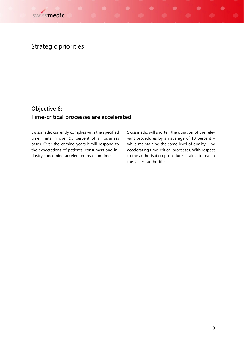## **Objective 6: Time-critical processes are accelerated.**

Swissmedic currently complies with the specified time limits in over 95 percent of all business cases. Over the coming years it will respond to the expectations of patients, consumers and industry concerning accelerated reaction times.

Swissmedic will shorten the duration of the relevant procedures by an average of 10 percent – while maintaining the same level of quality  $-$  by accelerating time-critical processes. With respect to the authorisation procedures it aims to match the fastest authorities.

 $\bullet$ 

œ

 $\bullet$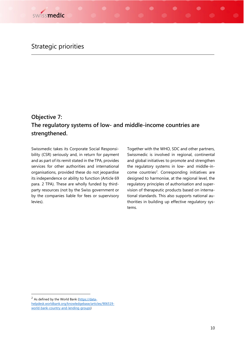## **Objective 7: The regulatory systems of low- and middle-income countries are strengthened.**

Swissmedic takes its Corporate Social Responsibility (CSR) seriously and, in return for payment and as part of its remit stated in the TPA, provides services for other authorities and international organisations, provided these do not jeopardise its independence or ability to function (Article 69 para. 2 TPA). These are wholly funded by thirdparty resources (not by the Swiss government or by the companies liable for fees or supervisory levies).

Together with the WHO, SDC and other partners, Swissmedic is involved in regional, continental and global initiatives to promote and strengthen the regulatory systems in low- and middle-income countries<sup>2</sup>. Corresponding initiatives are designed to harmonise, at the regional level, the regulatory principles of authorisation and supervision of therapeutic products based on international standards. This also supports national authorities in building up effective regulatory systems.

 $\overline{a}$ 

<sup>&</sup>lt;sup>2</sup> As defined by the World Bank [\(https://data](https://datahelpdesk.worldbank.org/knowledgebase/articles/906519-world-bank-country-and-lending-groups)[helpdesk.worldbank.org/knowledgebase/articles/906519](https://datahelpdesk.worldbank.org/knowledgebase/articles/906519-world-bank-country-and-lending-groups) [world-bank-country-and-lending-groups\)](https://datahelpdesk.worldbank.org/knowledgebase/articles/906519-world-bank-country-and-lending-groups)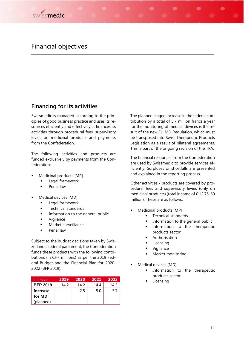#### Financial objectives

#### **Financing for its activities**

Swissmedic is managed according to the principles of good business practice and uses its resources efficiently and effectively. It finances its activities through procedural fees, supervisory levies on medicinal products and payments from the Confederation.

The following activities and products are funded exclusively by payments from the Confederation:

- Medicinal products [MP]
	- Legal framework
	- Penal law
- Medical devices [MD]
	- Legal framework
	- Technical standards
	- Information to the general public
	- Vigilance
	- Market surveillance
	- Penal law

Subject to the budget decisions taken by Switzerland's federal parliament, the Confederation funds these products with the following contributions (in CHF millions) as per the 2019 Federal Budget and the Financial Plan for 2020- 2022 (BFP 2019).

| <b>CHF</b> million | 2019 | 2020 | 2021 | 2022 |
|--------------------|------|------|------|------|
| <b>BFP 2019</b>    | 14.2 | 14.2 | 14.4 | 14.5 |
| <b>Increase</b>    |      | 2.5  | 5.0  | 5.7  |
| for MD             |      |      |      |      |
| (planned)          |      |      |      |      |

The planned staged increase in the federal contribution by a total of 5.7 million francs a year for the monitoring of medical devices is the result of the new EU MD Regulation, which must be transposed into Swiss Therapeutic Products Legislation as a result of bilateral agreements. This is part of the ongoing revision of the TPA.

The financial resources from the Confederation are used by Swissmedic to provide services efficiently. Surpluses or shortfalls are presented and explained in the reporting process.

Other activities / products are covered by procedural fees and supervisory levies (only on medicinal products) (total income of CHF 75-80 million). These are as follows:

- Medicinal products [MP]
	- Technical standards
	- Information to the general public
	- Information to the therapeutic products sector
	- Authorisation
	- Licensing
	- Vigilance
	- Market monitoring
- Medical devices [MD]
	- Information to the therapeutic products sector
	- Licensing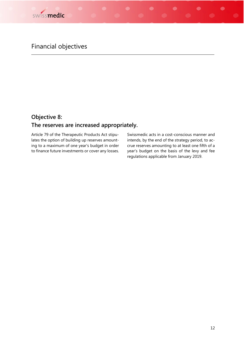## Financial objectives

#### **Objective 8:**

#### **The reserves are increased appropriately.**

Article 79 of the Therapeutic Products Act stipulates the option of building up reserves amounting to a maximum of one year's budget in order to finance future investments or cover any losses.

Swissmedic acts in a cost-conscious manner and intends, by the end of the strategy period, to accrue reserves amounting to at least one fifth of a year's budget on the basis of the levy and fee regulations applicable from January 2019.

 $\bullet$ 

 $\bullet$ 

 $\bullet$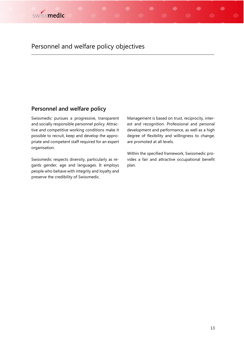## Personnel and welfare policy objectives

#### **Personnel and welfare policy**

Swissmedic pursues a progressive, transparent and socially responsible personnel policy. Attractive and competitive working conditions make it possible to recruit, keep and develop the appropriate and competent staff required for an expert organisation.

Swissmedic respects diversity, particularly as regards gender, age and languages. It employs people who behave with integrity and loyalty and preserve the credibility of Swissmedic.

Management is based on trust, reciprocity, interest and recognition. Professional and personal development and performance, as well as a high degree of flexibility and willingness to change, are promoted at all levels.

 $\bullet$ 

A

Within the specified framework, Swissmedic provides a fair and attractive occupational benefit plan.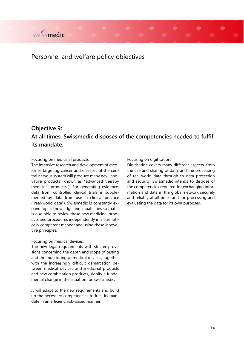

#### Personnel and welfare policy objectives

#### **Objective 9:**

#### **At all times, Swissmedic disposes of the competencies needed to fulfil its mandate.**

#### Focusing on medicinal products:

The intensive research and development of medicines targeting cancer and diseases of the central nervous system will produce many new innovative products (known as "advanced therapy medicinal products"). For generating evidence, data from controlled clinical trials is supplemented by data from use in clinical practice ("real-world data"). Swissmedic is constantly expanding its knowledge and capabilities so that it is also able to review these new medicinal products and procedures independently in a scientifically competent manner and using these innovative principles.

#### Focusing on medical devices:

The new legal requirements with stricter provisions concerning the depth and scope of testing and the monitoring of medical devices, together with the increasingly difficult demarcation between medical devices and medicinal products and new combination products, signify a fundamental change in the situation for Swissmedic.

It will adapt to the new requirements and build up the necessary competencies to fulfil its mandate in an efficient, risk-based manner.

Focusing on digitisation:

Digitisation covers many different aspects, from the use and sharing of data, and the processing of real-world data through to data protection and security. Swissmedic intends to dispose of the competencies required for exchanging information and data in the global network securely and reliably at all times and for processing and evaluating the data for its own purposes.

 $\bullet$ 

 $\bullet$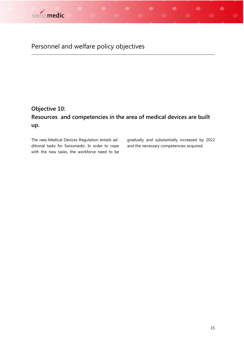# Personnel and welfare policy objectives

# **Objective 10: Resources and competencies in the area of medical devices are built up.**

The new Medical Devices Regulation entails additional tasks for Swissmedic. In order to cope with the new tasks, the workforce need to be gradually and substantially increased by 2022 and the necessary competencies acquired.

 $\bullet$ 

 $\bullet$ 

 $\bullet$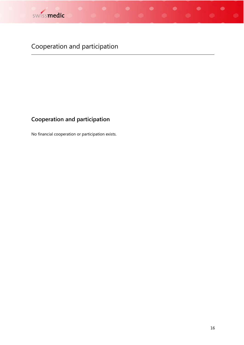

# Cooperation and participation

# **Cooperation and participation**

No financial cooperation or participation exists.

 $\bullet$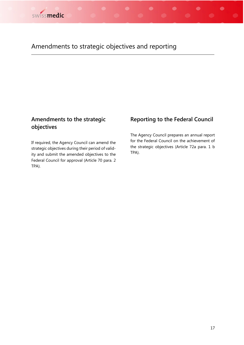## Amendments to strategic objectives and reporting

#### **Amendments to the strategic objectives**

If required, the Agency Council can amend the strategic objectives during their period of validity and submit the amended objectives to the Federal Council for approval (Article 70 para. 2 TPA).

#### **Reporting to the Federal Council**

 $\bullet$ 

 $\bullet$ 

A

The Agency Council prepares an annual report for the Federal Council on the achievement of the strategic objectives (Article 72a para. 1 b TPA).